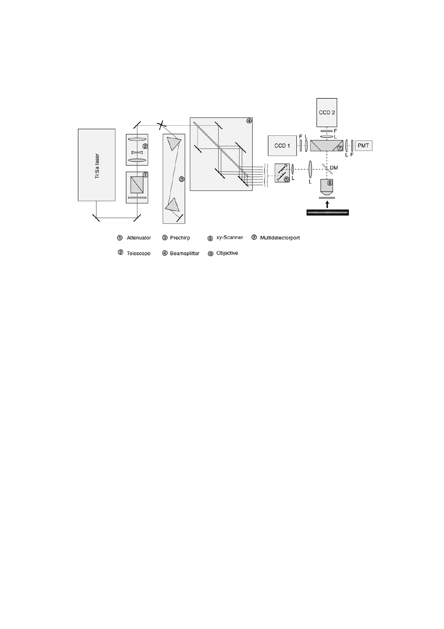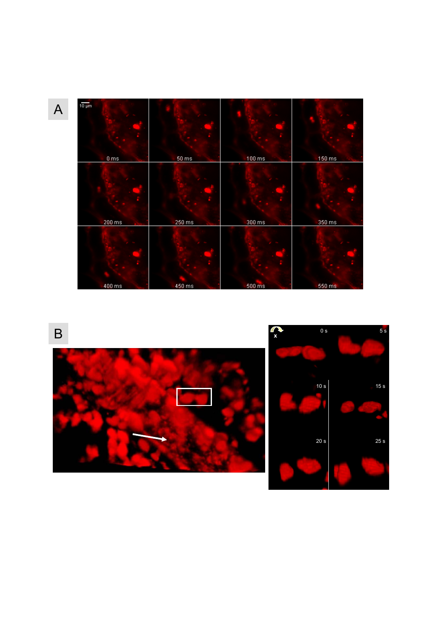



 $\overline{A}$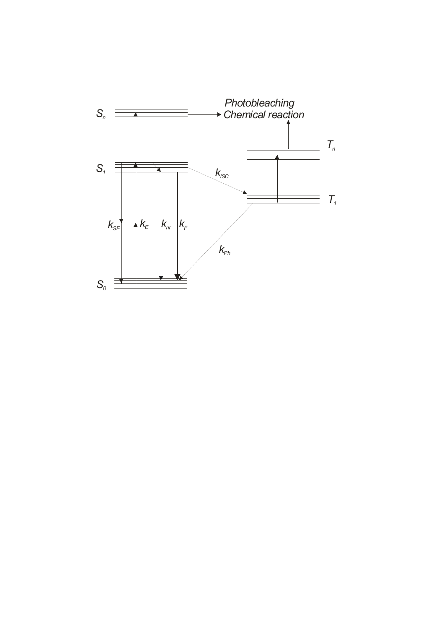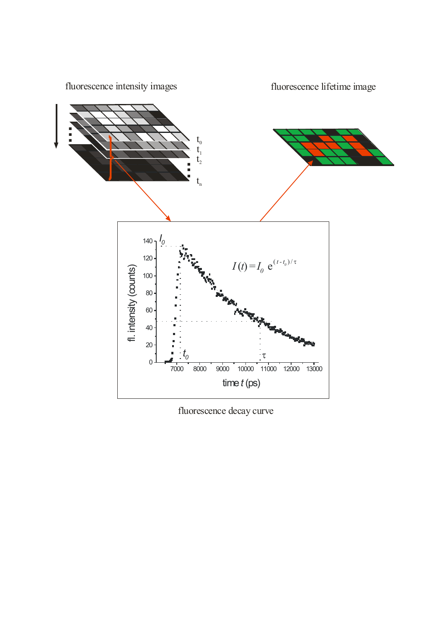



fluorescence decay curve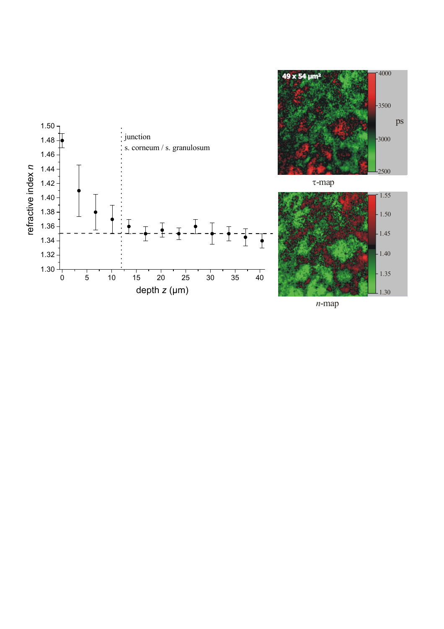

*n*-m ap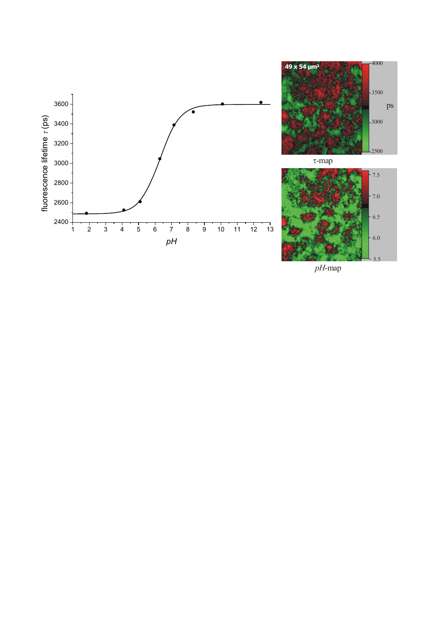



*pH*-map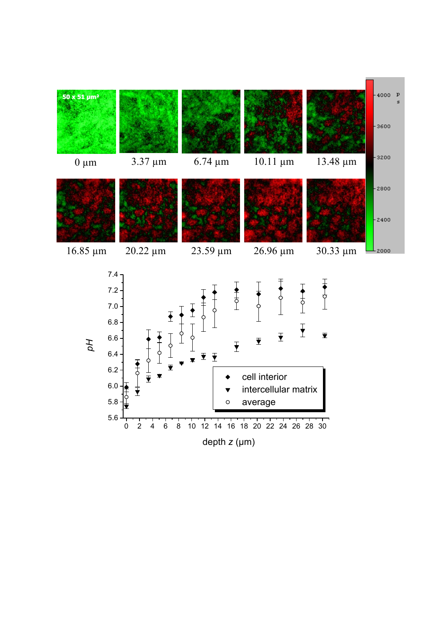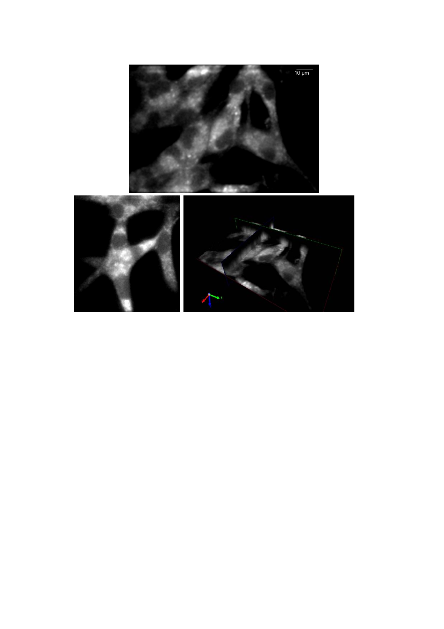